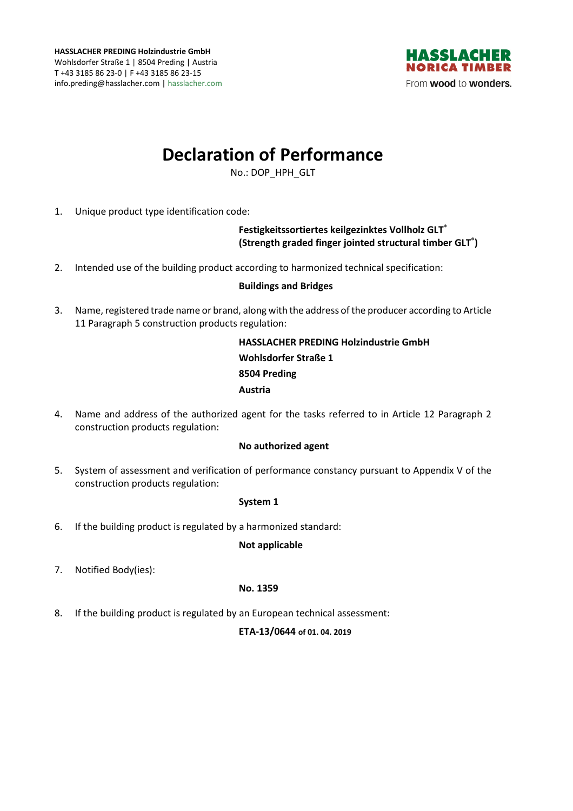

# **Declaration of Performance**

No.: DOP\_HPH\_GLT

1. Unique product type identification code:

## **Festigkeitssortiertes keilgezinktes Vollholz GLT® (Strength graded finger jointed structural timber GLT® )**

2. Intended use of the building product according to harmonized technical specification:

### **Buildings and Bridges**

3. Name, registered trade name or brand, along with the address of the producer according to Article 11 Paragraph 5 construction products regulation:

> **HASSLACHER PREDING Holzindustrie GmbH Wohlsdorfer Straße 1 8504 Preding Austria**

4. Name and address of the authorized agent for the tasks referred to in Article 12 Paragraph 2 construction products regulation:

#### **No authorized agent**

5. System of assessment and verification of performance constancy pursuant to Appendix V of the construction products regulation:

#### **System 1**

6. If the building product is regulated by a harmonized standard:

#### **Not applicable**

7. Notified Body(ies):

#### **No. 1359**

8. If the building product is regulated by an European technical assessment:

#### **ETA-13/0644 of 01. 04. 2019**